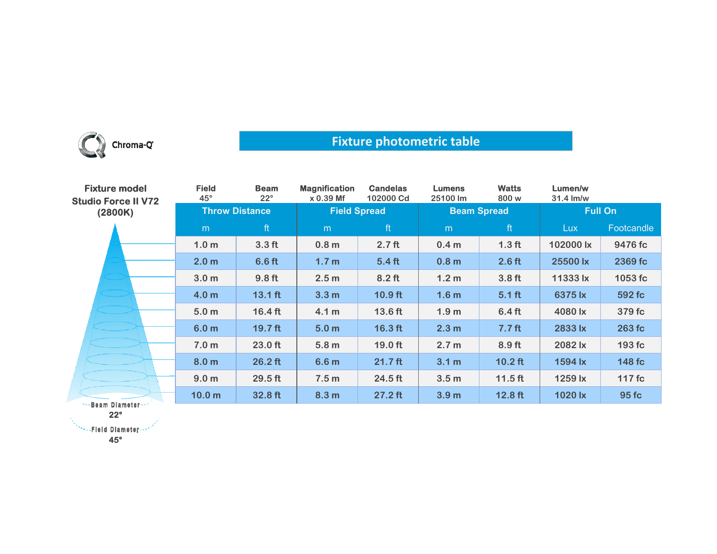

## **Fixture photometric table**

| <b>Fixture model</b><br><b>Studio Force II V72</b><br>(2800K) | <b>Field</b><br>$45^\circ$ | <b>Beam</b><br>$22^{\circ}$ | <b>Magnification</b><br>$x 0.39$ Mf | <b>Candelas</b><br>102000 Cd | <b>Lumens</b><br>25100 lm | <b>Watts</b><br>800 w | Lumen/w<br>$31.4 \text{ Im/w}$ |            |
|---------------------------------------------------------------|----------------------------|-----------------------------|-------------------------------------|------------------------------|---------------------------|-----------------------|--------------------------------|------------|
|                                                               | <b>Throw Distance</b>      |                             | <b>Field Spread</b>                 |                              | <b>Beam Spread</b>        |                       | <b>Full On</b>                 |            |
|                                                               | m                          | ft                          | m                                   | ft                           | m                         | ft                    | Lux.                           | Footcandle |
|                                                               | 1.0 <sub>m</sub>           | 3.3 <sub>ft</sub>           | 0.8 <sub>m</sub>                    | 2.7 <sub>ft</sub>            | 0.4 <sub>m</sub>          | 1.3 <sub>ft</sub>     | 102000 lx                      | 9476 fc    |
|                                                               | 2.0 <sub>m</sub>           | 6.6 <sub>ft</sub>           | 1.7 <sub>m</sub>                    | 5.4 <sub>ft</sub>            | 0.8 <sub>m</sub>          | $2.6$ ft              | 25500 lx                       | 2369 fc    |
|                                                               | 3.0 <sub>m</sub>           | 9.8 <sub>ft</sub>           | 2.5 <sub>m</sub>                    | $8.2$ ft                     | 1.2 <sub>m</sub>          | 3.8 <sub>ft</sub>     | 11333 lx                       | 1053 fc    |
|                                                               | 4.0 <sub>m</sub>           | $13.1$ ft                   | 3.3 <sub>m</sub>                    | $10.9$ ft                    | 1.6 <sub>m</sub>          | $5.1$ ft              | 6375 lx                        | 592 fc     |
|                                                               | 5.0 <sub>m</sub>           | $16.4$ ft                   | 4.1 <sub>m</sub>                    | 13.6 ft                      | 1.9 <sub>m</sub>          | 6.4 <sub>ft</sub>     | 4080 lx                        | 379 fc     |
|                                                               | 6.0 <sub>m</sub>           | 19.7 <sub>ft</sub>          | 5.0 <sub>m</sub>                    | $16.3$ ft                    | 2.3 <sub>m</sub>          | 7.7 <sub>ft</sub>     | 2833 lx                        | 263 fc     |
|                                                               | 7.0 <sub>m</sub>           | $23.0$ ft                   | 5.8 <sub>m</sub>                    | $19.0$ ft                    | 2.7 <sub>m</sub>          | 8.9 <sub>ft</sub>     | 2082 lx                        | 193 fc     |
|                                                               | 8.0 <sub>m</sub>           | $26.2$ ft                   | 6.6 <sub>m</sub>                    | $21.7$ ft                    | 3.1 <sub>m</sub>          | $10.2$ ft             | 1594 lx                        | 148 fc     |
|                                                               | 9.0 <sub>m</sub>           | $29.5$ ft                   | 7.5 <sub>m</sub>                    | 24.5 ft                      | 3.5 <sub>m</sub>          | $11.5$ ft             | 1259 lx                        | 117 fc     |
| *** Beam Diameter ***                                         | 10.0 <sub>m</sub>          | 32.8 ft                     | 8.3 <sub>m</sub>                    | $27.2$ ft                    | 3.9 <sub>m</sub>          | $12.8$ ft             | 1020 lx                        | 95 fc      |

**22°**

**45°**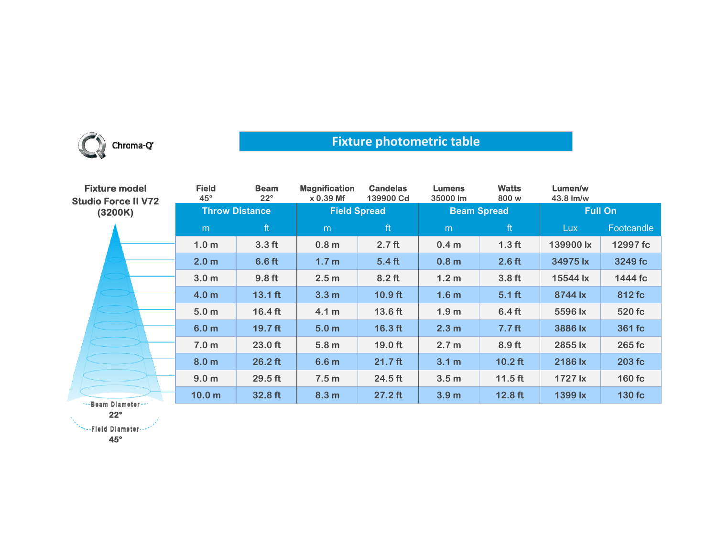

## **Fixture photometric table**

| <b>Fixture model</b><br><b>Studio Force II V72</b><br>(3200K) | <b>Field</b><br>$45^{\circ}$ | <b>Beam</b><br>$22^{\circ}$ | <b>Magnification</b><br>$x 0.39$ Mf | <b>Candelas</b><br>139900 Cd | <b>Lumens</b><br>35000 lm | <b>Watts</b><br>800 w | Lumen/w<br>43.8 lm/w |            |
|---------------------------------------------------------------|------------------------------|-----------------------------|-------------------------------------|------------------------------|---------------------------|-----------------------|----------------------|------------|
|                                                               | <b>Throw Distance</b>        |                             | <b>Field Spread</b>                 |                              | <b>Beam Spread</b>        |                       | <b>Full On</b>       |            |
|                                                               | m                            | ft                          | m                                   | ft                           | m                         | ft                    | <b>Lux</b>           | Footcandle |
|                                                               | 1.0 <sub>m</sub>             | 3.3 <sub>ft</sub>           | 0.8 <sub>m</sub>                    | 2.7 <sub>ft</sub>            | 0.4 <sub>m</sub>          | 1.3 <sub>ft</sub>     | 139900 lx            | 12997 fc   |
|                                                               | 2.0 <sub>m</sub>             | 6.6 ft                      | 1.7 <sub>m</sub>                    | 5.4 <sub>ft</sub>            | 0.8 <sub>m</sub>          | $2.6$ ft              | 34975 lx             | 3249 fc    |
|                                                               | 3.0 <sub>m</sub>             | 9.8 <sub>ft</sub>           | 2.5 <sub>m</sub>                    | $8.2$ ft                     | 1.2 <sub>m</sub>          | 3.8 <sub>ft</sub>     | 15544 lx             | 1444 fc    |
|                                                               | 4.0 <sub>m</sub>             | $13.1 \text{ ft}$           | 3.3 <sub>m</sub>                    | $10.9$ ft                    | 1.6 <sub>m</sub>          | $5.1$ ft              | 8744 lx              | 812 fc     |
|                                                               | 5.0 <sub>m</sub>             | $16.4$ ft                   | 4.1 <sub>m</sub>                    | 13.6 ft                      | 1.9 <sub>m</sub>          | 6.4 <sub>ft</sub>     | 5596 lx              | 520 fc     |
|                                                               | 6.0 <sub>m</sub>             | $19.7$ ft                   | 5.0 <sub>m</sub>                    | $16.3$ ft                    | 2.3 <sub>m</sub>          | 7.7 <sub>ft</sub>     | 3886 lx              | 361 fc     |
|                                                               | 7.0 <sub>m</sub>             | 23.0 ft                     | 5.8 <sub>m</sub>                    | 19.0 ft                      | 2.7 <sub>m</sub>          | 8.9 <sub>ft</sub>     | 2855 lx              | 265 fc     |
|                                                               | 8.0 <sub>m</sub>             | $26.2$ ft                   | 6.6 <sub>m</sub>                    | $21.7$ ft                    | 3.1 <sub>m</sub>          | $10.2$ ft             | 2186 lx              | 203 fc     |
|                                                               | 9.0 <sub>m</sub>             | $29.5$ ft                   | 7.5 <sub>m</sub>                    | 24.5 ft                      | 3.5 <sub>m</sub>          | $11.5$ ft             | 1727 lx              | $160$ fc   |
| s. Baam Blamatar.                                             | 10.0 <sub>m</sub>            | 32.8 ft                     | 8.3 <sub>m</sub>                    | $27.2$ ft                    | 3.9 <sub>m</sub>          | $12.8$ ft             | 1399 lx              | 130 fc     |

--Beam Diameter **22°**

**SEE Diameter --**

**45°**